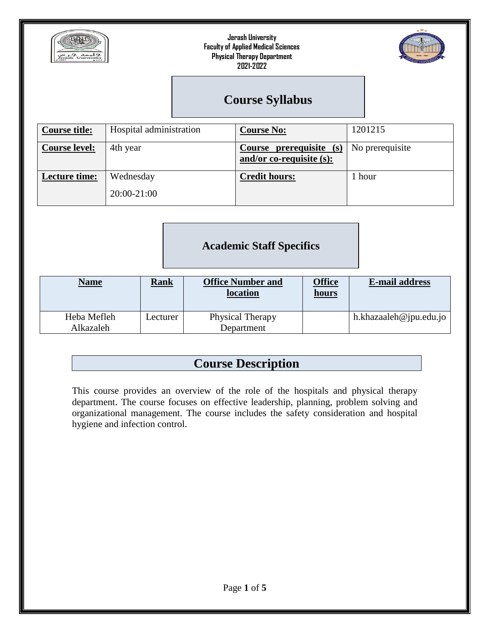



## **Course Syllabus**

| <b>Course title:</b> | Hospital administration  | <b>Course No:</b>                                      | 1201215         |
|----------------------|--------------------------|--------------------------------------------------------|-----------------|
| <b>Course level:</b> | 4th year                 | Course prerequisite (s)<br>and/or co-requisite $(s)$ : | No prerequisite |
| <b>Lecture time:</b> | Wednesday<br>20:00-21:00 | <b>Credit hours:</b>                                   | 1 hour          |

## **Academic Staff Specifics**

| <b>Name</b> | <b>Rank</b> | <b>Office Number and</b><br>location | Office<br><u>hours</u> | <b>E-mail address</b>  |
|-------------|-------------|--------------------------------------|------------------------|------------------------|
| Heba Mefleh | Lecturer    | Physical Therapy                     |                        | h.khazaaleh@jpu.edu.jo |
| Alkazaleh   |             | Department                           |                        |                        |

# **Course Description**

This course provides an overview of the role of the hospitals and physical therapy department. The course focuses on effective leadership, planning, problem solving and organizational management. The course includes the safety consideration and hospital hygiene and infection control.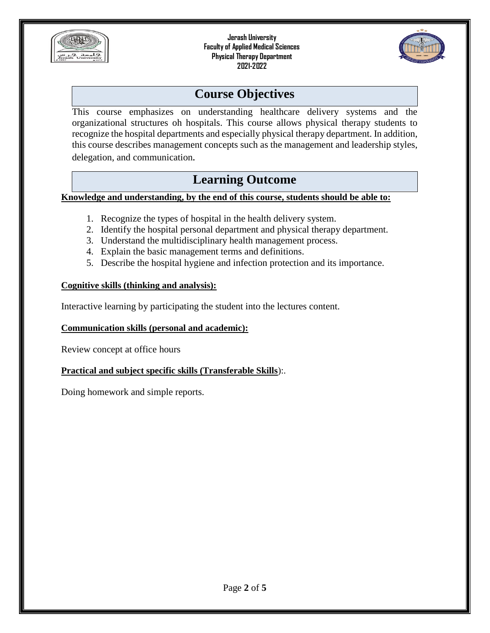



## **Course Objectives**

This course emphasizes on understanding healthcare delivery systems and the organizational structures oh hospitals. This course allows physical therapy students to recognize the hospital departments and especially physical therapy department. In addition, this course describes management concepts such as the management and leadership styles, delegation, and communication*.*

## **Learning Outcome**

**Knowledge and understanding, by the end of this course, students should be able to:**

- 1. Recognize the types of hospital in the health delivery system.
- 2. Identify the hospital personal department and physical therapy department.
- 3. Understand the multidisciplinary health management process.
- 4. Explain the basic management terms and definitions.
- 5. Describe the hospital hygiene and infection protection and its importance.

#### **Cognitive skills (thinking and analysis):**

Interactive learning by participating the student into the lectures content.

#### **Communication skills (personal and academic):**

Review concept at office hours

#### **Practical and subject specific skills (Transferable Skills**):.

Doing homework and simple reports.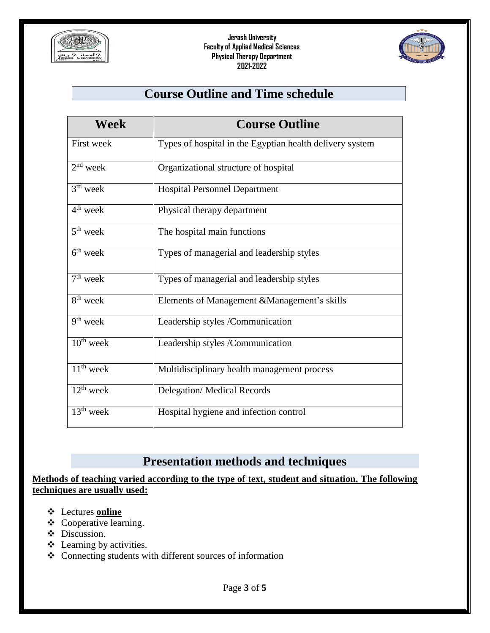



## **Course Outline and Time schedule**

| Week                              | <b>Course Outline</b>                                    |
|-----------------------------------|----------------------------------------------------------|
| <b>First week</b>                 | Types of hospital in the Egyptian health delivery system |
| $2nd$ week                        | Organizational structure of hospital                     |
| $3rd$ week                        | <b>Hospital Personnel Department</b>                     |
| $4th$ week                        | Physical therapy department                              |
| $5th$ week                        | The hospital main functions                              |
| $6^{th}$ week                     | Types of managerial and leadership styles                |
| $\overline{7}$ <sup>th</sup> week | Types of managerial and leadership styles                |
| 8 <sup>th</sup> week              | Elements of Management & Management's skills             |
| $9th$ week                        | Leadership styles /Communication                         |
| $10^{th}$ week                    | Leadership styles /Communication                         |
| $11th$ week                       | Multidisciplinary health management process              |
| $12^{th}$ week                    | <b>Delegation/ Medical Records</b>                       |
| $13th$ week                       | Hospital hygiene and infection control                   |

## **Presentation methods and techniques**

**Methods of teaching varied according to the type of text, student and situation. The following techniques are usually used:**

- Lectures **online**
- Cooperative learning.
- $\div$  Discussion.
- $\triangle$  Learning by activities.
- Connecting students with different sources of information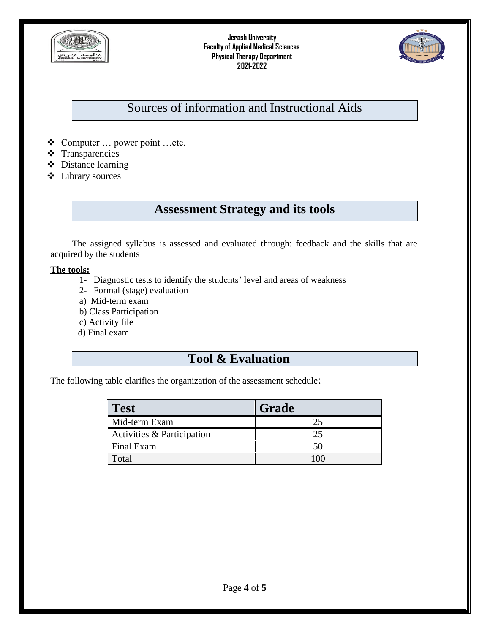



## Sources of information and Instructional Aids

- Computer … power point …etc.
- **❖** Transparencies
- Distance learning
- Library sources

## **Assessment Strategy and its tools**

The assigned syllabus is assessed and evaluated through: feedback and the skills that are acquired by the students

#### **The tools:**

- 1- Diagnostic tests to identify the students' level and areas of weakness
- 2- Formal (stage) evaluation
- a) Mid-term exam
- b) Class Participation
- c) Activity file
- d) Final exam

#### **Tool & Evaluation**

The following table clarifies the organization of the assessment schedule:

| Test                       | Grade |
|----------------------------|-------|
| Mid-term Exam              |       |
| Activities & Participation |       |
| Final Exam                 |       |
| Total                      |       |